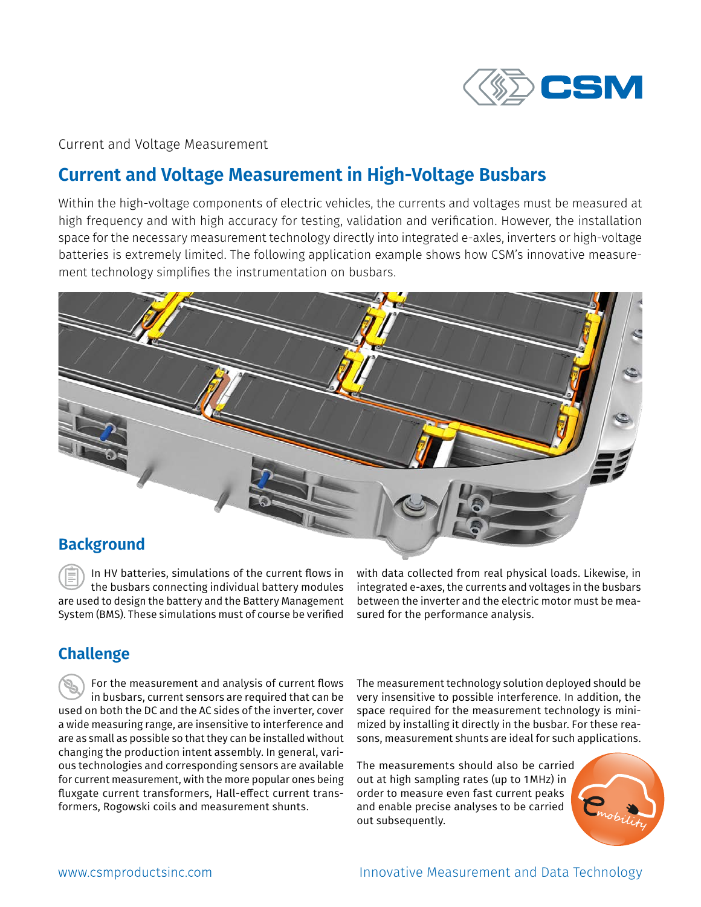

### Current and Voltage Measurement

# **Current and Voltage Measurement in High-Voltage Busbars**

Within the high-voltage components of electric vehicles, the currents and voltages must be measured at high frequency and with high accuracy for testing, validation and verification. However, the installation space for the necessary measurement technology directly into integrated e-axles, inverters or high-voltage batteries is extremely limited. The following application example shows how CSM's innovative measurement technology simplifies the instrumentation on busbars.



## **Background**

In HV batteries, simulations of the current flows in the busbars connecting individual battery modules are used to design the battery and the Battery Management System (BMS). These simulations must of course be verified

with data collected from real physical loads. Likewise, in integrated e-axes, the currents and voltages in the busbars between the inverter and the electric motor must be measured for the performance analysis.

## **Challenge**

For the measurement and analysis of current flows in busbars, current sensors are required that can be used on both the DC and the AC sides of the inverter, cover a wide measuring range, are insensitive to interference and are as small as possible so that they can be installed without changing the production intent assembly. In general, various technologies and corresponding sensors are available for current measurement, with the more popular ones being fluxgate current transformers, Hall-effect current transformers, Rogowski coils and measurement shunts.

The measurement technology solution deployed should be very insensitive to possible interference. In addition, the space required for the measurement technology is minimized by installing it directly in the busbar. For these reasons, measurement shunts are ideal for such applications.

The measurements should also be carried out at high sampling rates (up to 1MHz) in order to measure even fast current peaks and enable precise analyses to be carried out subsequently.

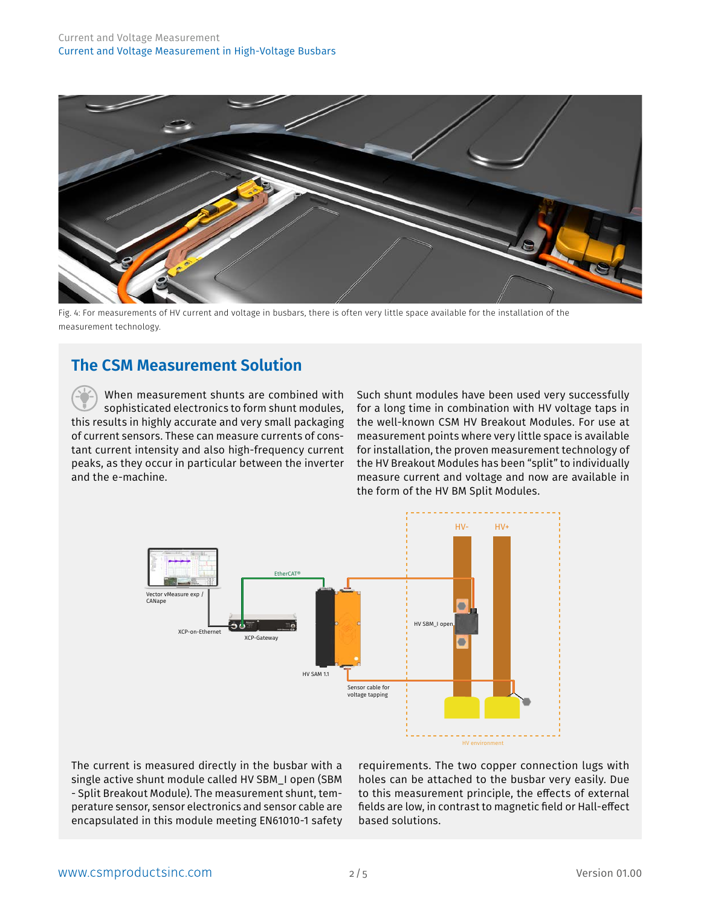

Fig. 4: For measurements of HV current and voltage in busbars, there is often very little space available for the installation of the measurement technology.

## **The CSM Measurement Solution**

When measurement shunts are combined with sophisticated electronics to form shunt modules, this results in highly accurate and very small packaging of current sensors. These can measure currents of constant current intensity and also high-frequency current peaks, as they occur in particular between the inverter and the e-machine.

Such shunt modules have been used very successfully for a long time in combination with HV voltage taps in the well-known CSM HV Breakout Modules. For use at measurement points where very little space is available for installation, the proven measurement technology of the HV Breakout Modules has been "split" to individually measure current and voltage and now are available in the form of the HV BM Split Modules.



The current is measured directly in the busbar with a single active shunt module called HV SBM\_I open (SBM - Split Breakout Module). The measurement shunt, temperature sensor, sensor electronics and sensor cable are encapsulated in this module meeting EN61010-1 safety requirements. The two copper connection lugs with holes can be attached to the busbar very easily. Due to this measurement principle, the effects of external fields are low, in contrast to magnetic field or Hall-effect based solutions.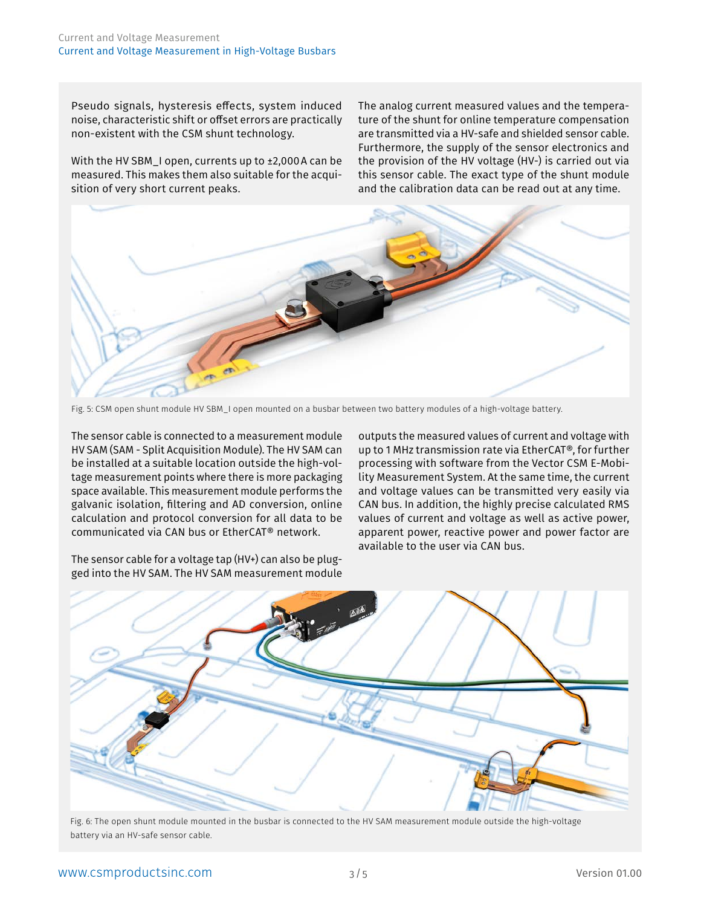Pseudo signals, hysteresis effects, system induced noise, characteristic shift or offset errors are practically non-existent with the CSM shunt technology.

With the HV SBM\_I open, currents up to ±2,000A can be measured. This makes them also suitable for the acquisition of very short current peaks.

The analog current measured values and the temperature of the shunt for online temperature compensation are transmitted via a HV-safe and shielded sensor cable. Furthermore, the supply of the sensor electronics and the provision of the HV voltage (HV-) is carried out via this sensor cable. The exact type of the shunt module and the calibration data can be read out at any time.



Fig. 5: CSM open shunt module HV SBM\_I open mounted on a busbar between two battery modules of a high-voltage battery.

The sensor cable is connected to a measurement module HV SAM (SAM - Split Acquisition Module). The HV SAM can be installed at a suitable location outside the high-voltage measurement points where there is more packaging space available. This measurement module performs the galvanic isolation, filtering and AD conversion, online calculation and protocol conversion for all data to be communicated via CAN bus or EtherCAT® network.

The sensor cable for a voltage tap (HV+) can also be plugged into the HV SAM. The HV SAM measurement module outputs the measured values of current and voltage with up to 1 MHz transmission rate via EtherCAT®, for further processing with software from the Vector CSM E-Mobility Measurement System. At the same time, the current and voltage values can be transmitted very easily via CAN bus. In addition, the highly precise calculated RMS values of current and voltage as well as active power, apparent power, reactive power and power factor are available to the user via CAN bus.



Fig. 6: The open shunt module mounted in the busbar is connected to the HV SAM measurement module outside the high-voltage battery via an HV-safe sensor cable.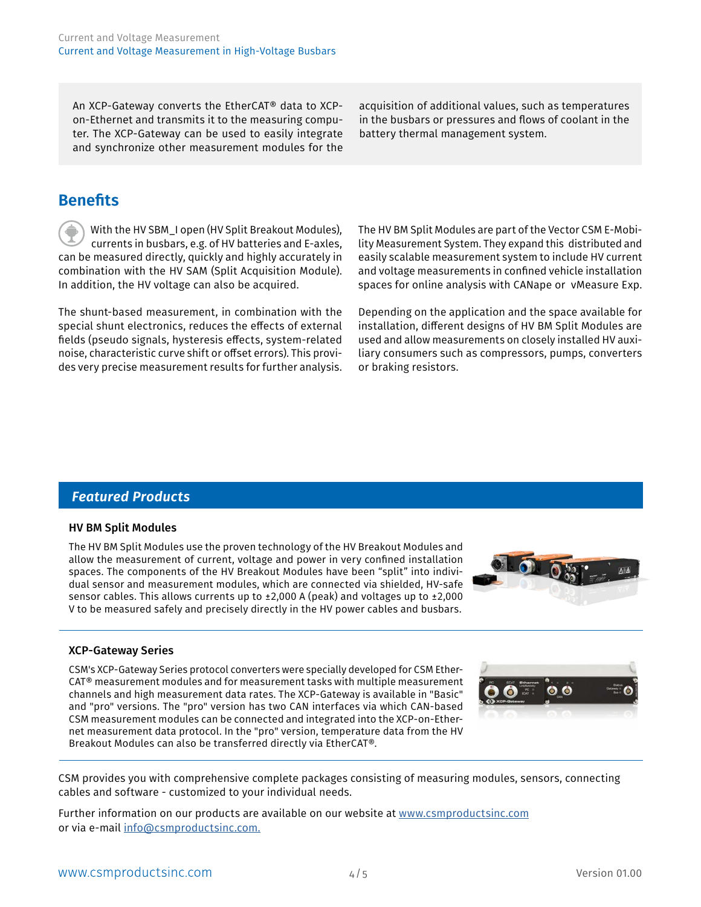An XCP-Gateway converts the EtherCAT® data to XCPon-Ethernet and transmits it to the measuring computer. The XCP-Gateway can be used to easily integrate and synchronize other measurement modules for the acquisition of additional values, such as temperatures in the busbars or pressures and flows of coolant in the battery thermal management system.

### **Benefits**

With the HV SBM\_I open (HV Split Breakout Modules), currents in busbars, e.g. of HV batteries and E-axles, can be measured directly, quickly and highly accurately in combination with the HV SAM (Split Acquisition Module). In addition, the HV voltage can also be acquired.

The shunt-based measurement, in combination with the special shunt electronics, reduces the effects of external fields (pseudo signals, hysteresis effects, system-related noise, characteristic curve shift or offset errors). This provides very precise measurement results for further analysis. The HV BM Split Modules are part of the Vector CSM E-Mobility Measurement System. They expand this distributed and easily scalable measurement system to include HV current and voltage measurements in confined vehicle installation spaces for online analysis with CANape or vMeasure Exp.

Depending on the application and the space available for installation, different designs of HV BM Split Modules are used and allow measurements on closely installed HV auxiliary consumers such as compressors, pumps, converters or braking resistors.

### *Featured Products*

### HV BM Split Modules

The HV BM Split Modules use the proven technology of the HV Breakout Modules and allow the measurement of current, voltage and power in very confined installation spaces. The components of the HV Breakout Modules have been "split" into individual sensor and measurement modules, which are connected via shielded, HV-safe sensor cables. This allows currents up to ±2,000 A (peak) and voltages up to ±2,000 V to be measured safely and precisely directly in the HV power cables and busbars.



### XCP-Gateway Series

CSM's XCP-Gateway Series protocol converters were specially developed for CSM Ether-CAT® measurement modules and for measurement tasks with multiple measurement channels and high measurement data rates. The XCP-Gateway is available in "Basic" and "pro" versions. The "pro" version has two CAN interfaces via which CAN-based CSM measurement modules can be connected and integrated into the XCP-on-Ethernet measurement data protocol. In the "pro" version, temperature data from the HV Breakout Modules can also be transferred directly via EtherCAT®.



CSM provides you with comprehensive complete packages consisting of measuring modules, sensors, connecting cables and software - customized to your individual needs.

Further information on our products are available on our website at www.csmproductsinc.com or via e-mail info@csmproductsinc.com.